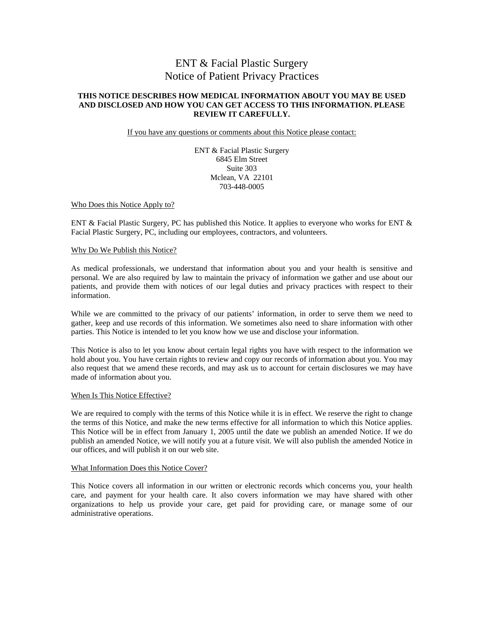## ENT & Facial Plastic Surgery Notice of Patient Privacy Practices

#### **THIS NOTICE DESCRIBES HOW MEDICAL INFORMATION ABOUT YOU MAY BE USED AND DISCLOSED AND HOW YOU CAN GET ACCESS TO THIS INFORMATION. PLEASE REVIEW IT CAREFULLY.**

If you have any questions or comments about this Notice please contact:

ENT & Facial Plastic Surgery 6845 Elm Street Suite 303 Mclean, VA 22101 703-448-0005

Who Does this Notice Apply to?

ENT & Facial Plastic Surgery, PC has published this Notice. It applies to everyone who works for ENT & Facial Plastic Surgery, PC, including our employees, contractors, and volunteers.

#### Why Do We Publish this Notice?

As medical professionals, we understand that information about you and your health is sensitive and personal. We are also required by law to maintain the privacy of information we gather and use about our patients, and provide them with notices of our legal duties and privacy practices with respect to their information.

While we are committed to the privacy of our patients' information, in order to serve them we need to gather, keep and use records of this information. We sometimes also need to share information with other parties. This Notice is intended to let you know how we use and disclose your information.

This Notice is also to let you know about certain legal rights you have with respect to the information we hold about you. You have certain rights to review and copy our records of information about you. You may also request that we amend these records, and may ask us to account for certain disclosures we may have made of information about you.

#### When Is This Notice Effective?

We are required to comply with the terms of this Notice while it is in effect. We reserve the right to change the terms of this Notice, and make the new terms effective for all information to which this Notice applies. This Notice will be in effect from January 1, 2005 until the date we publish an amended Notice. If we do publish an amended Notice, we will notify you at a future visit. We will also publish the amended Notice in our offices, and will publish it on our web site.

#### What Information Does this Notice Cover?

This Notice covers all information in our written or electronic records which concerns you, your health care, and payment for your health care. It also covers information we may have shared with other organizations to help us provide your care, get paid for providing care, or manage some of our administrative operations.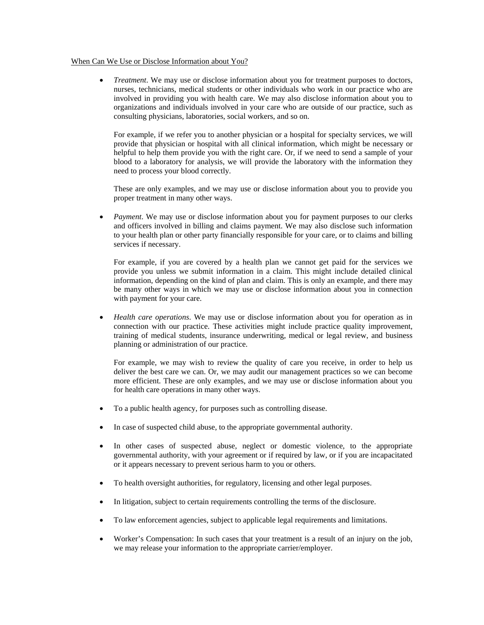#### When Can We Use or Disclose Information about You?

• *Treatment*. We may use or disclose information about you for treatment purposes to doctors, nurses, technicians, medical students or other individuals who work in our practice who are involved in providing you with health care. We may also disclose information about you to organizations and individuals involved in your care who are outside of our practice, such as consulting physicians, laboratories, social workers, and so on.

For example, if we refer you to another physician or a hospital for specialty services, we will provide that physician or hospital with all clinical information, which might be necessary or helpful to help them provide you with the right care. Or, if we need to send a sample of your blood to a laboratory for analysis, we will provide the laboratory with the information they need to process your blood correctly.

These are only examples, and we may use or disclose information about you to provide you proper treatment in many other ways.

• *Payment*. We may use or disclose information about you for payment purposes to our clerks and officers involved in billing and claims payment. We may also disclose such information to your health plan or other party financially responsible for your care, or to claims and billing services if necessary.

For example, if you are covered by a health plan we cannot get paid for the services we provide you unless we submit information in a claim. This might include detailed clinical information, depending on the kind of plan and claim. This is only an example, and there may be many other ways in which we may use or disclose information about you in connection with payment for your care.

• *Health care operations*. We may use or disclose information about you for operation as in connection with our practice. These activities might include practice quality improvement, training of medical students, insurance underwriting, medical or legal review, and business planning or administration of our practice.

For example, we may wish to review the quality of care you receive, in order to help us deliver the best care we can. Or, we may audit our management practices so we can become more efficient. These are only examples, and we may use or disclose information about you for health care operations in many other ways.

- To a public health agency, for purposes such as controlling disease.
- In case of suspected child abuse, to the appropriate governmental authority.
- In other cases of suspected abuse, neglect or domestic violence, to the appropriate governmental authority, with your agreement or if required by law, or if you are incapacitated or it appears necessary to prevent serious harm to you or others.
- To health oversight authorities, for regulatory, licensing and other legal purposes.
- In litigation, subject to certain requirements controlling the terms of the disclosure.
- To law enforcement agencies, subject to applicable legal requirements and limitations.
- Worker's Compensation: In such cases that your treatment is a result of an injury on the job, we may release your information to the appropriate carrier/employer.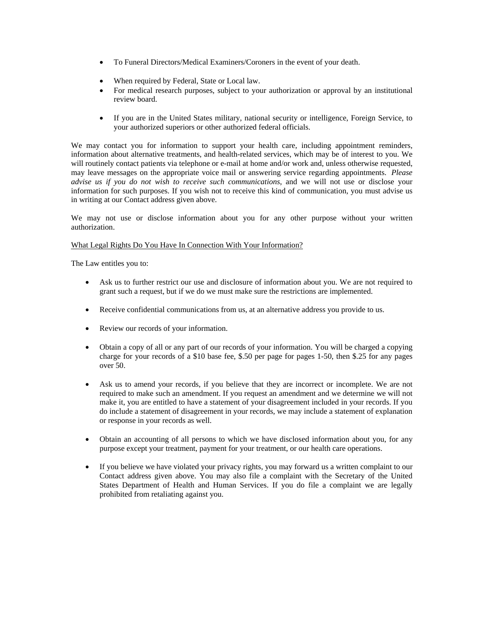- To Funeral Directors/Medical Examiners/Coroners in the event of your death.
- When required by Federal, State or Local law.
- For medical research purposes, subject to your authorization or approval by an institutional review board.
- If you are in the United States military, national security or intelligence, Foreign Service, to your authorized superiors or other authorized federal officials.

We may contact you for information to support your health care, including appointment reminders, information about alternative treatments, and health-related services, which may be of interest to you. We will routinely contact patients via telephone or e-mail at home and/or work and, unless otherwise requested, may leave messages on the appropriate voice mail or answering service regarding appointments. *Please advise us if you do not wish to receive such communications*, and we will not use or disclose your information for such purposes. If you wish not to receive this kind of communication, you must advise us in writing at our Contact address given above.

We may not use or disclose information about you for any other purpose without your written authorization.

### What Legal Rights Do You Have In Connection With Your Information?

The Law entitles you to:

- Ask us to further restrict our use and disclosure of information about you. We are not required to grant such a request, but if we do we must make sure the restrictions are implemented.
- Receive confidential communications from us, at an alternative address you provide to us.
- Review our records of your information.
- Obtain a copy of all or any part of our records of your information. You will be charged a copying charge for your records of a \$10 base fee, \$.50 per page for pages 1-50, then \$.25 for any pages over 50.
- Ask us to amend your records, if you believe that they are incorrect or incomplete. We are not required to make such an amendment. If you request an amendment and we determine we will not make it, you are entitled to have a statement of your disagreement included in your records. If you do include a statement of disagreement in your records, we may include a statement of explanation or response in your records as well.
- Obtain an accounting of all persons to which we have disclosed information about you, for any purpose except your treatment, payment for your treatment, or our health care operations.
- If you believe we have violated your privacy rights, you may forward us a written complaint to our Contact address given above. You may also file a complaint with the Secretary of the United States Department of Health and Human Services. If you do file a complaint we are legally prohibited from retaliating against you.